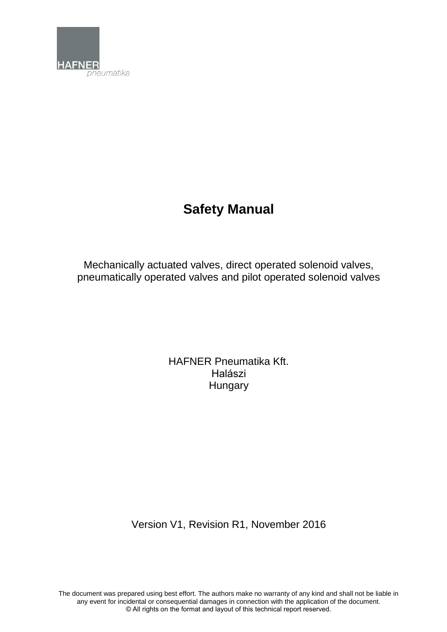

# **Safety Manual**

Mechanically actuated valves, direct operated solenoid valves, pneumatically operated valves and pilot operated solenoid valves

> HAFNER Pneumatika Kft. Halászi **Hungary**

Version V1, Revision R1, November 2016

The document was prepared using best effort. The authors make no warranty of any kind and shall not be liable in any event for incidental or consequential damages in connection with the application of the document. © All rights on the format and layout of this technical report reserved.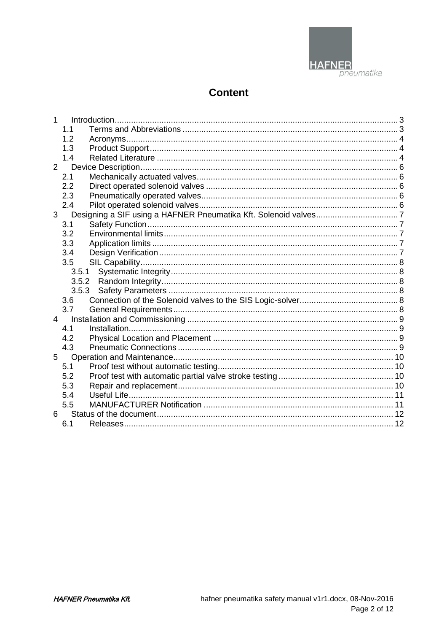

## **Content**

| 1         |       |  |
|-----------|-------|--|
|           | 1.1   |  |
|           | 1.2   |  |
|           | 1.3   |  |
|           | 1.4   |  |
| 2         |       |  |
|           | 2.1   |  |
|           | 2.2   |  |
|           | 2.3   |  |
|           | 2.4   |  |
| 3         |       |  |
|           | 3.1   |  |
|           | 3.2   |  |
|           | 3.3   |  |
|           | 3.4   |  |
|           | 3.5   |  |
|           | 3.5.1 |  |
|           | 3.5.2 |  |
|           | 3.5.3 |  |
|           | 3.6   |  |
|           | 3.7   |  |
| $4 \quad$ |       |  |
|           | 4.1   |  |
|           | 4.2   |  |
|           | 4.3   |  |
| 5         |       |  |
|           | 5.1   |  |
|           | 5.2   |  |
|           | 5.3   |  |
|           | 5.4   |  |
|           | 5.5   |  |
| 6         |       |  |
|           | 6.1   |  |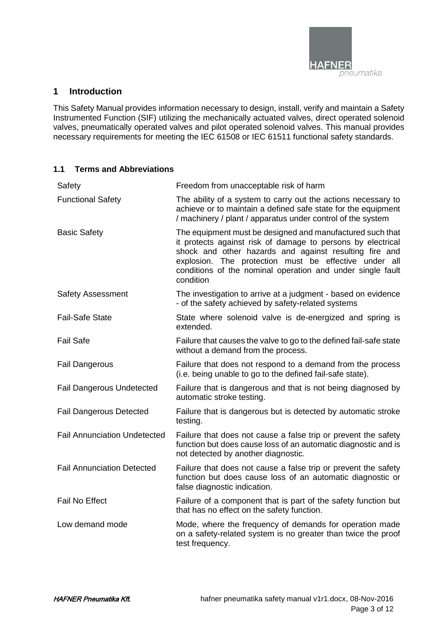

### **1 Introduction**

This Safety Manual provides information necessary to design, install, verify and maintain a Safety Instrumented Function (SIF) utilizing the mechanically actuated valves, direct operated solenoid valves, pneumatically operated valves and pilot operated solenoid valves. This manual provides necessary requirements for meeting the IEC 61508 or IEC 61511 functional safety standards.

#### **1.1 Terms and Abbreviations**

| Safety                              | Freedom from unacceptable risk of harm                                                                                                                                                                                                                                                                                 |  |  |
|-------------------------------------|------------------------------------------------------------------------------------------------------------------------------------------------------------------------------------------------------------------------------------------------------------------------------------------------------------------------|--|--|
| <b>Functional Safety</b>            | The ability of a system to carry out the actions necessary to<br>achieve or to maintain a defined safe state for the equipment<br>/ machinery / plant / apparatus under control of the system                                                                                                                          |  |  |
| <b>Basic Safety</b>                 | The equipment must be designed and manufactured such that<br>it protects against risk of damage to persons by electrical<br>shock and other hazards and against resulting fire and<br>explosion. The protection must be effective under all<br>conditions of the nominal operation and under single fault<br>condition |  |  |
| <b>Safety Assessment</b>            | The investigation to arrive at a judgment - based on evidence<br>- of the safety achieved by safety-related systems                                                                                                                                                                                                    |  |  |
| <b>Fail-Safe State</b>              | State where solenoid valve is de-energized and spring is<br>extended.                                                                                                                                                                                                                                                  |  |  |
| <b>Fail Safe</b>                    | Failure that causes the valve to go to the defined fail-safe state<br>without a demand from the process.                                                                                                                                                                                                               |  |  |
| <b>Fail Dangerous</b>               | Failure that does not respond to a demand from the process<br>(i.e. being unable to go to the defined fail-safe state).                                                                                                                                                                                                |  |  |
| <b>Fail Dangerous Undetected</b>    | Failure that is dangerous and that is not being diagnosed by<br>automatic stroke testing.                                                                                                                                                                                                                              |  |  |
| <b>Fail Dangerous Detected</b>      | Failure that is dangerous but is detected by automatic stroke<br>testing.                                                                                                                                                                                                                                              |  |  |
| <b>Fail Annunciation Undetected</b> | Failure that does not cause a false trip or prevent the safety<br>function but does cause loss of an automatic diagnostic and is<br>not detected by another diagnostic.                                                                                                                                                |  |  |
| <b>Fail Annunciation Detected</b>   | Failure that does not cause a false trip or prevent the safety<br>function but does cause loss of an automatic diagnostic or<br>false diagnostic indication.                                                                                                                                                           |  |  |
| <b>Fail No Effect</b>               | Failure of a component that is part of the safety function but<br>that has no effect on the safety function.                                                                                                                                                                                                           |  |  |
| Low demand mode                     | Mode, where the frequency of demands for operation made<br>on a safety-related system is no greater than twice the proof<br>test frequency.                                                                                                                                                                            |  |  |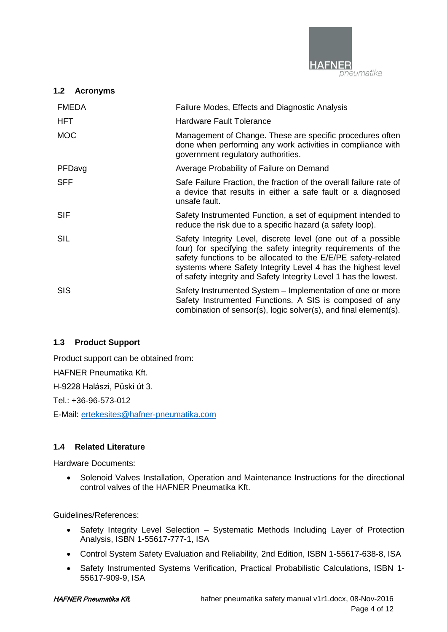

## **1.2 Acronyms**

| <b>FMEDA</b> | Failure Modes, Effects and Diagnostic Analysis                                                                                                                                                                                                                                                                                      |
|--------------|-------------------------------------------------------------------------------------------------------------------------------------------------------------------------------------------------------------------------------------------------------------------------------------------------------------------------------------|
| <b>HFT</b>   | <b>Hardware Fault Tolerance</b>                                                                                                                                                                                                                                                                                                     |
| <b>MOC</b>   | Management of Change. These are specific procedures often<br>done when performing any work activities in compliance with<br>government regulatory authorities.                                                                                                                                                                      |
| PFDavg       | Average Probability of Failure on Demand                                                                                                                                                                                                                                                                                            |
| <b>SFF</b>   | Safe Failure Fraction, the fraction of the overall failure rate of<br>a device that results in either a safe fault or a diagnosed<br>unsafe fault.                                                                                                                                                                                  |
| <b>SIF</b>   | Safety Instrumented Function, a set of equipment intended to<br>reduce the risk due to a specific hazard (a safety loop).                                                                                                                                                                                                           |
| SIL          | Safety Integrity Level, discrete level (one out of a possible<br>four) for specifying the safety integrity requirements of the<br>safety functions to be allocated to the E/E/PE safety-related<br>systems where Safety Integrity Level 4 has the highest level<br>of safety integrity and Safety Integrity Level 1 has the lowest. |
| <b>SIS</b>   | Safety Instrumented System – Implementation of one or more<br>Safety Instrumented Functions. A SIS is composed of any<br>combination of sensor(s), logic solver(s), and final element(s).                                                                                                                                           |

## **1.3 Product Support**

Product support can be obtained from:

HAFNER Pneumatika Kft.

H-9228 Halászi, Püski út 3.

Tel.: +36-96-573-012

E-Mail: [ertekesites@hafner-pneumatika.com](mailto:ertekesites@hafner-pneumatika.com)

## **1.4 Related Literature**

Hardware Documents:

 Solenoid Valves Installation, Operation and Maintenance Instructions for the directional control valves of the HAFNER Pneumatika Kft.

Guidelines/References:

- Safety Integrity Level Selection Systematic Methods Including Layer of Protection Analysis, ISBN 1-55617-777-1, ISA
- Control System Safety Evaluation and Reliability, 2nd Edition, ISBN 1-55617-638-8, ISA
- Safety Instrumented Systems Verification, Practical Probabilistic Calculations, ISBN 1-55617-909-9, ISA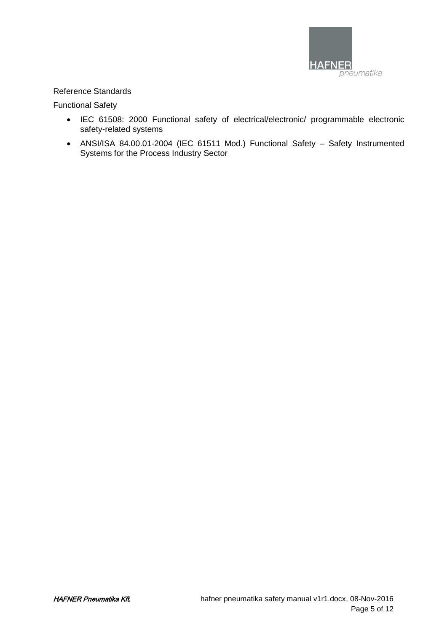

#### Reference Standards

Functional Safety

- IEC 61508: 2000 Functional safety of electrical/electronic/ programmable electronic safety-related systems
- ANSI/ISA 84.00.01-2004 (IEC 61511 Mod.) Functional Safety Safety Instrumented Systems for the Process Industry Sector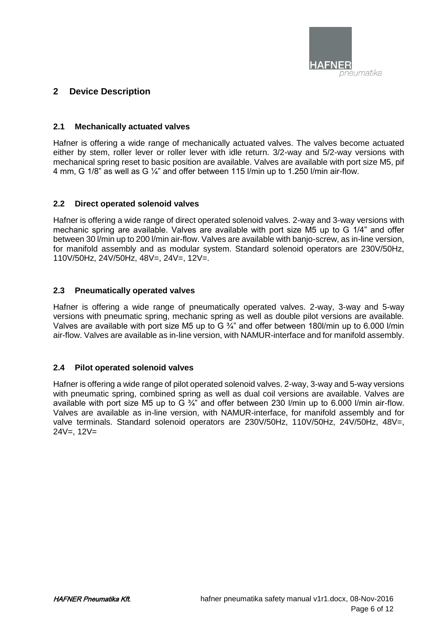

## **2 Device Description**

#### **2.1 Mechanically actuated valves**

Hafner is offering a wide range of mechanically actuated valves. The valves become actuated either by stem, roller lever or roller lever with idle return. 3/2-way and 5/2-way versions with mechanical spring reset to basic position are available. Valves are available with port size M5, pif 4 mm, G 1/8" as well as G ¼" and offer between 115 l/min up to 1.250 l/min air-flow.

#### **2.2 Direct operated solenoid valves**

Hafner is offering a wide range of direct operated solenoid valves. 2-way and 3-way versions with mechanic spring are available. Valves are available with port size M5 up to G 1/4" and offer between 30 l/min up to 200 l/min air-flow. Valves are available with banjo-screw, as in-line version, for manifold assembly and as modular system. Standard solenoid operators are 230V/50Hz, 110V/50Hz, 24V/50Hz, 48V=, 24V=, 12V=.

#### **2.3 Pneumatically operated valves**

Hafner is offering a wide range of pneumatically operated valves. 2-way, 3-way and 5-way versions with pneumatic spring, mechanic spring as well as double pilot versions are available. Valves are available with port size M5 up to G 3/4" and offer between 180l/min up to 6.000 l/min air-flow. Valves are available as in-line version, with NAMUR-interface and for manifold assembly.

#### **2.4 Pilot operated solenoid valves**

Hafner is offering a wide range of pilot operated solenoid valves. 2-way, 3-way and 5-way versions with pneumatic spring, combined spring as well as dual coil versions are available. Valves are available with port size M5 up to G  $\frac{3}{4}$  and offer between 230 l/min up to 6.000 l/min air-flow. Valves are available as in-line version, with NAMUR-interface, for manifold assembly and for valve terminals. Standard solenoid operators are 230V/50Hz, 110V/50Hz, 24V/50Hz, 48V=, 24V=, 12V=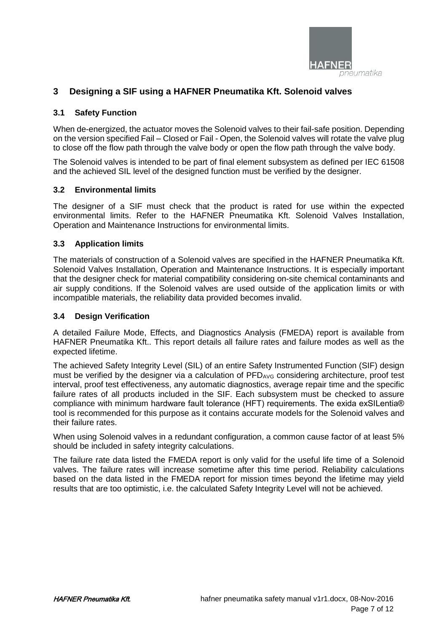

## **3 Designing a SIF using a HAFNER Pneumatika Kft. Solenoid valves**

#### **3.1 Safety Function**

When de-energized, the actuator moves the Solenoid valves to their fail-safe position. Depending on the version specified Fail – Closed or Fail - Open, the Solenoid valves will rotate the valve plug to close off the flow path through the valve body or open the flow path through the valve body.

The Solenoid valves is intended to be part of final element subsystem as defined per IEC 61508 and the achieved SIL level of the designed function must be verified by the designer.

#### **3.2 Environmental limits**

The designer of a SIF must check that the product is rated for use within the expected environmental limits. Refer to the HAFNER Pneumatika Kft. Solenoid Valves Installation, Operation and Maintenance Instructions for environmental limits.

#### **3.3 Application limits**

The materials of construction of a Solenoid valves are specified in the HAFNER Pneumatika Kft. Solenoid Valves Installation, Operation and Maintenance Instructions. It is especially important that the designer check for material compatibility considering on-site chemical contaminants and air supply conditions. If the Solenoid valves are used outside of the application limits or with incompatible materials, the reliability data provided becomes invalid.

#### **3.4 Design Verification**

A detailed Failure Mode, Effects, and Diagnostics Analysis (FMEDA) report is available from HAFNER Pneumatika Kft.. This report details all failure rates and failure modes as well as the expected lifetime.

The achieved Safety Integrity Level (SIL) of an entire Safety Instrumented Function (SIF) design must be verified by the designer via a calculation of  $PFD_{AVG}$  considering architecture, proof test interval, proof test effectiveness, any automatic diagnostics, average repair time and the specific failure rates of all products included in the SIF. Each subsystem must be checked to assure compliance with minimum hardware fault tolerance (HFT) requirements. The exida exSILentia® tool is recommended for this purpose as it contains accurate models for the Solenoid valves and their failure rates.

When using Solenoid valves in a redundant configuration, a common cause factor of at least 5% should be included in safety integrity calculations.

The failure rate data listed the FMEDA report is only valid for the useful life time of a Solenoid valves. The failure rates will increase sometime after this time period. Reliability calculations based on the data listed in the FMEDA report for mission times beyond the lifetime may yield results that are too optimistic, i.e. the calculated Safety Integrity Level will not be achieved.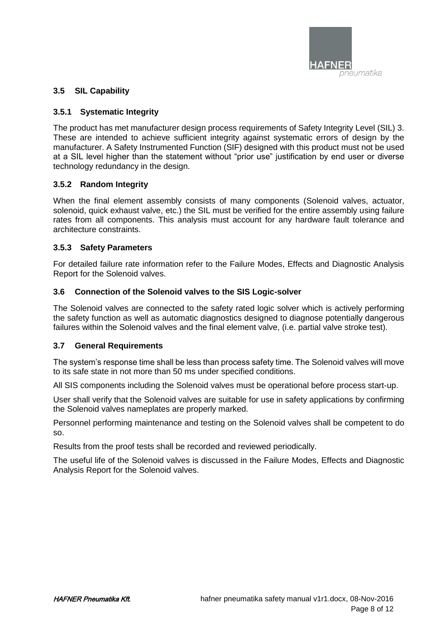

#### **3.5 SIL Capability**

#### **3.5.1 Systematic Integrity**

The product has met manufacturer design process requirements of Safety Integrity Level (SIL) 3. These are intended to achieve sufficient integrity against systematic errors of design by the manufacturer. A Safety Instrumented Function (SIF) designed with this product must not be used at a SIL level higher than the statement without "prior use" justification by end user or diverse technology redundancy in the design.

#### **3.5.2 Random Integrity**

When the final element assembly consists of many components (Solenoid valves, actuator, solenoid, quick exhaust valve, etc.) the SIL must be verified for the entire assembly using failure rates from all components. This analysis must account for any hardware fault tolerance and architecture constraints.

#### **3.5.3 Safety Parameters**

For detailed failure rate information refer to the Failure Modes, Effects and Diagnostic Analysis Report for the Solenoid valves.

#### **3.6 Connection of the Solenoid valves to the SIS Logic-solver**

The Solenoid valves are connected to the safety rated logic solver which is actively performing the safety function as well as automatic diagnostics designed to diagnose potentially dangerous failures within the Solenoid valves and the final element valve, (i.e. partial valve stroke test).

#### **3.7 General Requirements**

The system's response time shall be less than process safety time. The Solenoid valves will move to its safe state in not more than 50 ms under specified conditions.

All SIS components including the Solenoid valves must be operational before process start-up.

User shall verify that the Solenoid valves are suitable for use in safety applications by confirming the Solenoid valves nameplates are properly marked.

Personnel performing maintenance and testing on the Solenoid valves shall be competent to do so.

Results from the proof tests shall be recorded and reviewed periodically.

The useful life of the Solenoid valves is discussed in the Failure Modes, Effects and Diagnostic Analysis Report for the Solenoid valves.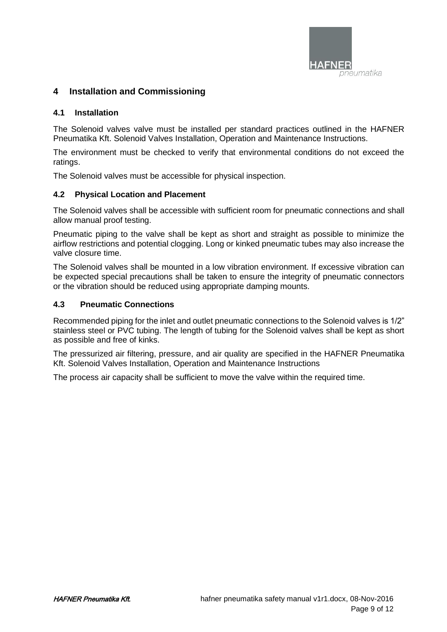

## **4 Installation and Commissioning**

#### **4.1 Installation**

The Solenoid valves valve must be installed per standard practices outlined in the HAFNER Pneumatika Kft. Solenoid Valves Installation, Operation and Maintenance Instructions.

The environment must be checked to verify that environmental conditions do not exceed the ratings.

The Solenoid valves must be accessible for physical inspection.

#### **4.2 Physical Location and Placement**

The Solenoid valves shall be accessible with sufficient room for pneumatic connections and shall allow manual proof testing.

Pneumatic piping to the valve shall be kept as short and straight as possible to minimize the airflow restrictions and potential clogging. Long or kinked pneumatic tubes may also increase the valve closure time.

The Solenoid valves shall be mounted in a low vibration environment. If excessive vibration can be expected special precautions shall be taken to ensure the integrity of pneumatic connectors or the vibration should be reduced using appropriate damping mounts.

#### **4.3 Pneumatic Connections**

Recommended piping for the inlet and outlet pneumatic connections to the Solenoid valves is 1/2" stainless steel or PVC tubing. The length of tubing for the Solenoid valves shall be kept as short as possible and free of kinks.

The pressurized air filtering, pressure, and air quality are specified in the HAFNER Pneumatika Kft. Solenoid Valves Installation, Operation and Maintenance Instructions

The process air capacity shall be sufficient to move the valve within the required time.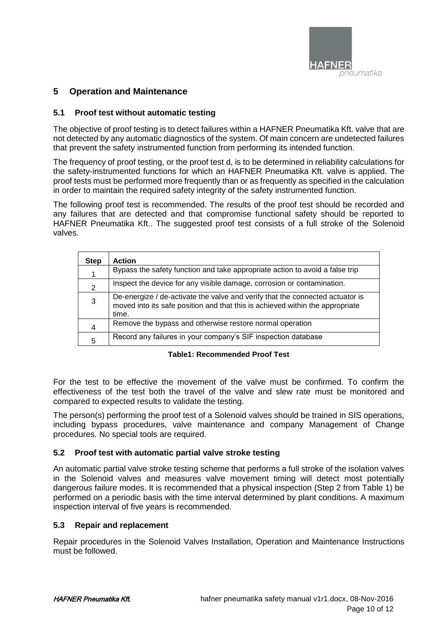

## **5 Operation and Maintenance**

#### **5.1 Proof test without automatic testing**

The objective of proof testing is to detect failures within a HAFNER Pneumatika Kft. valve that are not detected by any automatic diagnostics of the system. Of main concern are undetected failures that prevent the safety instrumented function from performing its intended function.

The frequency of proof testing, or the proof test d, is to be determined in reliability calculations for the safety-instrumented functions for which an HAFNER Pneumatika Kft. valve is applied. The proof tests must be performed more frequently than or as frequently as specified in the calculation in order to maintain the required safety integrity of the safety instrumented function.

The following proof test is recommended. The results of the proof test should be recorded and any failures that are detected and that compromise functional safety should be reported to HAFNER Pneumatika Kft.. The suggested proof test consists of a full stroke of the Solenoid valves.

| <b>Step</b> | <b>Action</b>                                                                                                                                                           |
|-------------|-------------------------------------------------------------------------------------------------------------------------------------------------------------------------|
|             | Bypass the safety function and take appropriate action to avoid a false trip                                                                                            |
| 2           | Inspect the device for any visible damage, corrosion or contamination.                                                                                                  |
| 3           | De-energize / de-activate the valve and verify that the connected actuator is<br>moved into its safe position and that this is achieved within the appropriate<br>time. |
| 4           | Remove the bypass and otherwise restore normal operation                                                                                                                |
| 5           | Record any failures in your company's SIF inspection database                                                                                                           |

#### **Table1: Recommended Proof Test**

For the test to be effective the movement of the valve must be confirmed. To confirm the effectiveness of the test both the travel of the valve and slew rate must be monitored and compared to expected results to validate the testing.

The person(s) performing the proof test of a Solenoid valves should be trained in SIS operations, including bypass procedures, valve maintenance and company Management of Change procedures. No special tools are required.

#### **5.2 Proof test with automatic partial valve stroke testing**

An automatic partial valve stroke testing scheme that performs a full stroke of the isolation valves in the Solenoid valves and measures valve movement timing will detect most potentially dangerous failure modes. It is recommended that a physical inspection (Step 2 from Table 1) be performed on a periodic basis with the time interval determined by plant conditions. A maximum inspection interval of five years is recommended.

#### **5.3 Repair and replacement**

Repair procedures in the Solenoid Valves Installation, Operation and Maintenance Instructions must be followed.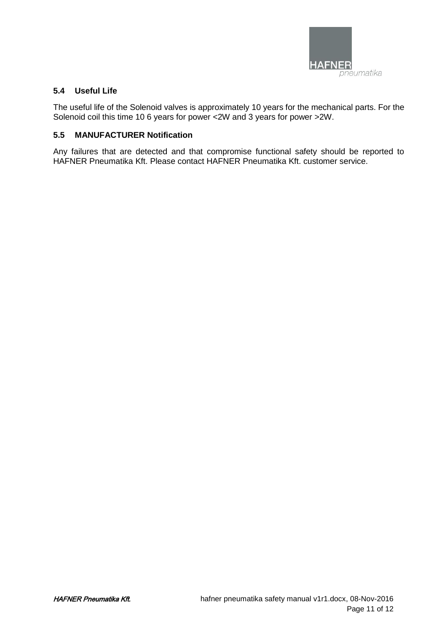

#### **5.4 Useful Life**

The useful life of the Solenoid valves is approximately 10 years for the mechanical parts. For the Solenoid coil this time 10 6 years for power <2W and 3 years for power >2W.

#### **5.5 MANUFACTURER Notification**

Any failures that are detected and that compromise functional safety should be reported to HAFNER Pneumatika Kft. Please contact HAFNER Pneumatika Kft. customer service.